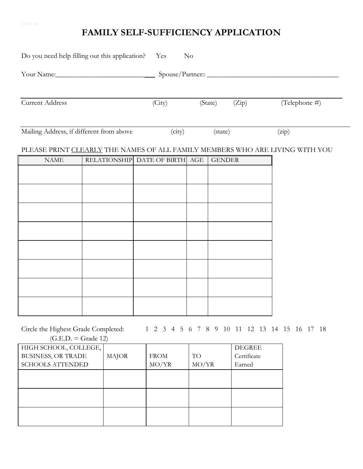## **FAMILY SELF-SUFFICIENCY APPLICATION**

| Do you need help filling out this application? | Yes                            | No |               |       |                                                                              |
|------------------------------------------------|--------------------------------|----|---------------|-------|------------------------------------------------------------------------------|
|                                                |                                |    |               |       |                                                                              |
| <b>Current Address</b>                         | (City)                         |    | (State)       | (Zip) | (Telephone #)                                                                |
| Mailing Address, if different from above       | (city)                         |    | (state)       |       | (zip)                                                                        |
|                                                |                                |    |               |       | PLEASE PRINT CLEARLY THE NAMES OF ALL FAMILY MEMBERS WHO ARE LIVING WITH YOU |
| <b>NAME</b>                                    | RELATIONSHIP DATE OF BIRTH AGE |    | <b>GENDER</b> |       |                                                                              |
|                                                |                                |    |               |       |                                                                              |
|                                                |                                |    |               |       |                                                                              |
|                                                |                                |    |               |       |                                                                              |
|                                                |                                |    |               |       |                                                                              |
|                                                |                                |    |               |       |                                                                              |
|                                                |                                |    |               |       |                                                                              |
|                                                |                                |    |               |       |                                                                              |
|                                                |                                |    |               |       |                                                                              |
|                                                |                                |    |               |       |                                                                              |
| Circle the Highest Grade Completed:            |                                |    |               |       | 1 2 3 4 5 6 7 8 9 10 11 12 13 14 15 16 17 18                                 |

 $(G.E.D. = Grade 12)$ 

| HIGH SCHOOL, COLLEGE,     |              |             |       | <b>DEGREE</b> |
|---------------------------|--------------|-------------|-------|---------------|
| <b>BUSINESS, OR TRADE</b> | <b>MAJOR</b> | <b>FROM</b> | TO    | Certificate   |
| <b>SCHOOLS ATTENDED</b>   |              | MO/YR       | MO/YR | Earned        |
|                           |              |             |       |               |
|                           |              |             |       |               |
|                           |              |             |       |               |
|                           |              |             |       |               |
|                           |              |             |       |               |
|                           |              |             |       |               |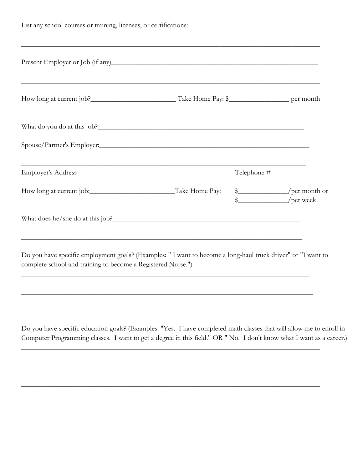|  |  |  |  |  | List any school courses or training, licenses, or certifications: |
|--|--|--|--|--|-------------------------------------------------------------------|
|--|--|--|--|--|-------------------------------------------------------------------|

| <u> 1989 - Johann Harry Harry Harry Harry Harry Harry Harry Harry Harry Harry Harry Harry Harry Harry Harry Harry</u> | Telephone # |                                                                                                                                                                                                     |
|-----------------------------------------------------------------------------------------------------------------------|-------------|-----------------------------------------------------------------------------------------------------------------------------------------------------------------------------------------------------|
|                                                                                                                       |             | /per week                                                                                                                                                                                           |
|                                                                                                                       |             |                                                                                                                                                                                                     |
|                                                                                                                       |             | <u> 1999 - Jan James James James James James James James James James James James James James James James James</u><br>How long at current job: Take Home Pay:<br>\$___________________/per month or |

complete school and training to become a Registered Nurse.")

\_\_\_\_\_\_\_\_\_\_\_\_\_\_\_\_\_\_\_\_\_\_\_\_\_\_\_\_\_\_\_\_\_\_\_\_\_\_\_\_\_\_\_\_\_\_\_\_\_\_\_\_\_\_\_\_\_\_\_\_\_\_\_\_\_\_\_\_\_\_\_\_\_\_\_\_\_\_\_\_\_

\_\_\_\_\_\_\_\_\_\_\_\_\_\_\_\_\_\_\_\_\_\_\_\_\_\_\_\_\_\_\_\_\_\_\_\_\_\_\_\_\_\_\_\_\_\_\_\_\_\_\_\_\_\_\_\_\_\_\_\_\_\_\_\_\_\_\_\_\_\_\_\_\_\_\_\_\_\_\_\_\_\_

\_\_\_\_\_\_\_\_\_\_\_\_\_\_\_\_\_\_\_\_\_\_\_\_\_\_\_\_\_\_\_\_\_\_\_\_\_\_\_\_\_\_\_\_\_\_\_\_\_\_\_\_\_\_\_\_\_\_\_\_\_\_\_\_\_\_\_\_\_\_\_\_\_\_\_\_\_\_\_\_\_\_

\_\_\_\_\_\_\_\_\_\_\_\_\_\_\_\_\_\_\_\_\_\_\_\_\_\_\_\_\_\_\_\_\_\_\_\_\_\_\_\_\_\_\_\_\_\_\_\_\_\_\_\_\_\_\_\_\_\_\_\_\_\_\_\_\_\_\_\_\_\_\_\_\_\_\_\_\_\_\_\_\_\_\_\_

\_\_\_\_\_\_\_\_\_\_\_\_\_\_\_\_\_\_\_\_\_\_\_\_\_\_\_\_\_\_\_\_\_\_\_\_\_\_\_\_\_\_\_\_\_\_\_\_\_\_\_\_\_\_\_\_\_\_\_\_\_\_\_\_\_\_\_\_\_\_\_\_\_\_\_\_\_\_\_\_\_\_\_\_

\_\_\_\_\_\_\_\_\_\_\_\_\_\_\_\_\_\_\_\_\_\_\_\_\_\_\_\_\_\_\_\_\_\_\_\_\_\_\_\_\_\_\_\_\_\_\_\_\_\_\_\_\_\_\_\_\_\_\_\_\_\_\_\_\_\_\_\_\_\_\_\_\_\_\_\_\_\_\_\_\_\_\_\_

Do you have specific education goals? (Examples: "Yes. I have completed math classes that will allow me to enroll in Computer Programming classes. I want to get a degree in this field." OR " No. I don't know what I want as a career.)